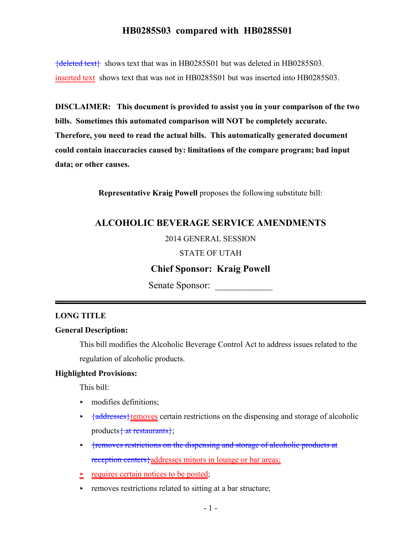{deleted text} shows text that was in HB0285S01 but was deleted in HB0285S03. inserted text shows text that was not in HB0285S01 but was inserted into HB0285S03.

**DISCLAIMER: This document is provided to assist you in your comparison of the two bills. Sometimes this automated comparison will NOT be completely accurate. Therefore, you need to read the actual bills. This automatically generated document could contain inaccuracies caused by: limitations of the compare program; bad input data; or other causes.**

**Representative Kraig Powell** proposes the following substitute bill:

## **ALCOHOLIC BEVERAGE SERVICE AMENDMENTS**

#### 2014 GENERAL SESSION

#### STATE OF UTAH

#### **Chief Sponsor: Kraig Powell**

Senate Sponsor:

#### **LONG TITLE**

#### **General Description:**

This bill modifies the Alcoholic Beverage Control Act to address issues related to the regulation of alcoholic products.

#### **Highlighted Provisions:**

This bill:

- $\blacktriangleright$  modifies definitions;
- $\rightarrow \frac{4 \text{addresses}}{1 \text{emoves certain restrictions on the dispensing and storage of alcoholic}}$ products  $\{$  at restaurants $\}$ ;
- **Fremoves restrictions on the dispensing and storage of alcoholic products at** reception centers}addresses minors in lounge or bar areas;
- $\geq$  requires certain notices to be posted;
- $\blacktriangleright$  removes restrictions related to sitting at a bar structure;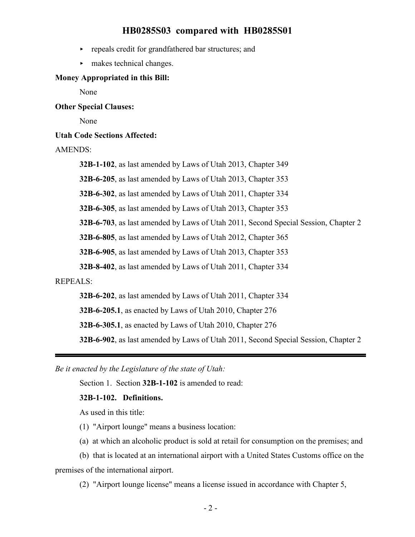- $\rightarrow$  repeals credit for grandfathered bar structures; and
- $\blacktriangleright$  makes technical changes.

#### **Money Appropriated in this Bill:**

None

#### **Other Special Clauses:**

None

#### **Utah Code Sections Affected:**

#### AMENDS:

**32B-1-102**, as last amended by Laws of Utah 2013, Chapter 349

**32B-6-205**, as last amended by Laws of Utah 2013, Chapter 353

**32B-6-302**, as last amended by Laws of Utah 2011, Chapter 334

**32B-6-305**, as last amended by Laws of Utah 2013, Chapter 353

**32B-6-703**, as last amended by Laws of Utah 2011, Second Special Session, Chapter 2

**32B-6-805**, as last amended by Laws of Utah 2012, Chapter 365

**32B-6-905**, as last amended by Laws of Utah 2013, Chapter 353

**32B-8-402**, as last amended by Laws of Utah 2011, Chapter 334

#### REPEALS:

**32B-6-202**, as last amended by Laws of Utah 2011, Chapter 334

**32B-6-205.1**, as enacted by Laws of Utah 2010, Chapter 276

**32B-6-305.1**, as enacted by Laws of Utah 2010, Chapter 276

**32B-6-902**, as last amended by Laws of Utah 2011, Second Special Session, Chapter 2

*Be it enacted by the Legislature of the state of Utah:*

Section 1. Section **32B-1-102** is amended to read:

#### **32B-1-102. Definitions.**

As used in this title:

(1) "Airport lounge" means a business location:

(a) at which an alcoholic product is sold at retail for consumption on the premises; and

(b) that is located at an international airport with a United States Customs office on the premises of the international airport.

(2) "Airport lounge license" means a license issued in accordance with Chapter 5,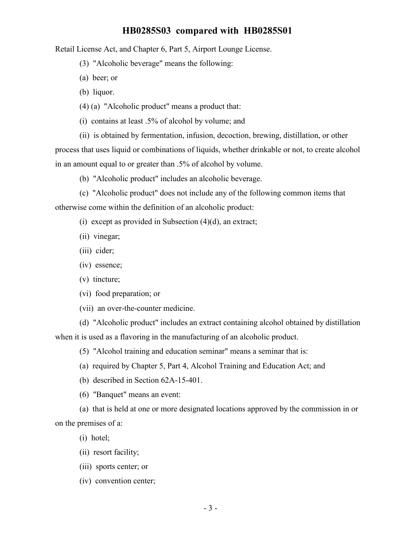Retail License Act, and Chapter 6, Part 5, Airport Lounge License.

(3) "Alcoholic beverage" means the following:

(a) beer; or

(b) liquor.

(4) (a) "Alcoholic product" means a product that:

(i) contains at least .5% of alcohol by volume; and

(ii) is obtained by fermentation, infusion, decoction, brewing, distillation, or other process that uses liquid or combinations of liquids, whether drinkable or not, to create alcohol in an amount equal to or greater than .5% of alcohol by volume.

(b) "Alcoholic product" includes an alcoholic beverage.

(c) "Alcoholic product" does not include any of the following common items that otherwise come within the definition of an alcoholic product:

(i) except as provided in Subsection  $(4)(d)$ , an extract;

(ii) vinegar;

(iii) cider;

(iv) essence;

(v) tincture;

(vi) food preparation; or

(vii) an over-the-counter medicine.

(d) "Alcoholic product" includes an extract containing alcohol obtained by distillation when it is used as a flavoring in the manufacturing of an alcoholic product.

(5) "Alcohol training and education seminar" means a seminar that is:

(a) required by Chapter 5, Part 4, Alcohol Training and Education Act; and

(b) described in Section 62A-15-401.

(6) "Banquet" means an event:

(a) that is held at one or more designated locations approved by the commission in or on the premises of a:

(i) hotel;

(ii) resort facility;

(iii) sports center; or

(iv) convention center;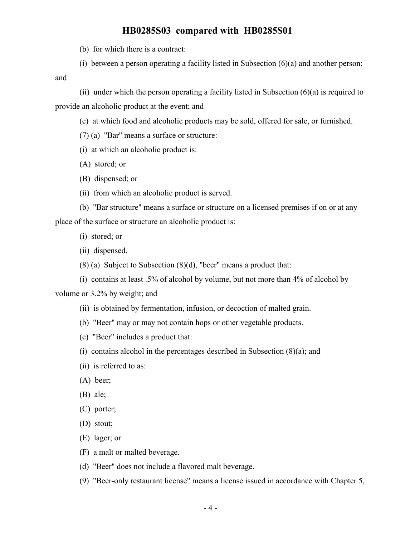(b) for which there is a contract:

(i) between a person operating a facility listed in Subsection  $(6)(a)$  and another person;

and

(ii) under which the person operating a facility listed in Subsection  $(6)(a)$  is required to provide an alcoholic product at the event; and

(c) at which food and alcoholic products may be sold, offered for sale, or furnished.

(7) (a) "Bar" means a surface or structure:

- (i) at which an alcoholic product is:
- (A) stored; or
- (B) dispensed; or
- (ii) from which an alcoholic product is served.

(b) "Bar structure" means a surface or structure on a licensed premises if on or at any place of the surface or structure an alcoholic product is:

- (i) stored; or
- (ii) dispensed.
- (8) (a) Subject to Subsection (8)(d), "beer" means a product that:
- (i) contains at least .5% of alcohol by volume, but not more than 4% of alcohol by

volume or 3.2% by weight; and

- (ii) is obtained by fermentation, infusion, or decoction of malted grain.
- (b) "Beer" may or may not contain hops or other vegetable products.
- (c) "Beer" includes a product that:
- (i) contains alcohol in the percentages described in Subsection (8)(a); and
- (ii) is referred to as:
- (A) beer;
- (B) ale;
- (C) porter;
- (D) stout;
- (E) lager; or
- (F) a malt or malted beverage.
- (d) "Beer" does not include a flavored malt beverage.
- (9) "Beer-only restaurant license" means a license issued in accordance with Chapter 5,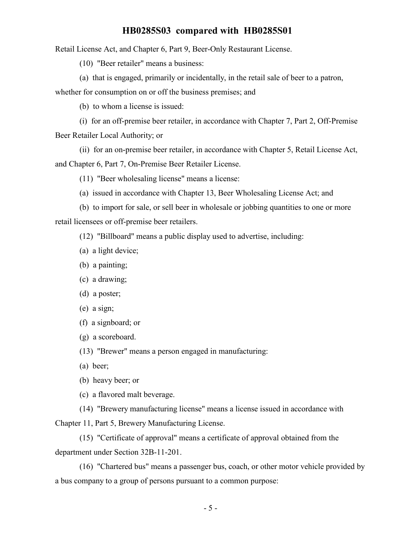Retail License Act, and Chapter 6, Part 9, Beer-Only Restaurant License.

(10) "Beer retailer" means a business:

(a) that is engaged, primarily or incidentally, in the retail sale of beer to a patron,

whether for consumption on or off the business premises; and

(b) to whom a license is issued:

(i) for an off-premise beer retailer, in accordance with Chapter 7, Part 2, Off-Premise Beer Retailer Local Authority; or

(ii) for an on-premise beer retailer, in accordance with Chapter 5, Retail License Act, and Chapter 6, Part 7, On-Premise Beer Retailer License.

(11) "Beer wholesaling license" means a license:

(a) issued in accordance with Chapter 13, Beer Wholesaling License Act; and

(b) to import for sale, or sell beer in wholesale or jobbing quantities to one or more retail licensees or off-premise beer retailers.

(12) "Billboard" means a public display used to advertise, including:

- (a) a light device;
- (b) a painting;
- (c) a drawing;
- (d) a poster;
- (e) a sign;
- (f) a signboard; or
- (g) a scoreboard.

(13) "Brewer" means a person engaged in manufacturing:

- (a) beer;
- (b) heavy beer; or

(c) a flavored malt beverage.

(14) "Brewery manufacturing license" means a license issued in accordance with Chapter 11, Part 5, Brewery Manufacturing License.

(15) "Certificate of approval" means a certificate of approval obtained from the department under Section 32B-11-201.

(16) "Chartered bus" means a passenger bus, coach, or other motor vehicle provided by a bus company to a group of persons pursuant to a common purpose: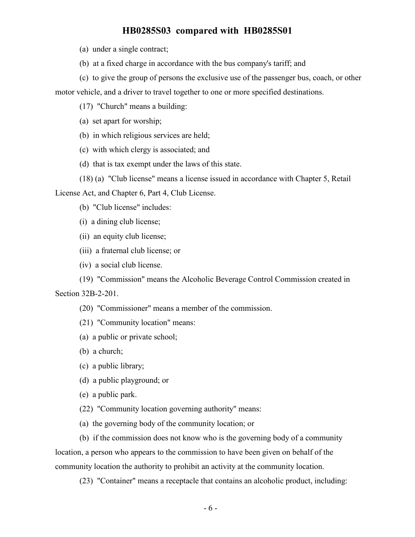(a) under a single contract;

- (b) at a fixed charge in accordance with the bus company's tariff; and
- (c) to give the group of persons the exclusive use of the passenger bus, coach, or other

motor vehicle, and a driver to travel together to one or more specified destinations.

(17) "Church" means a building:

(a) set apart for worship;

- (b) in which religious services are held;
- (c) with which clergy is associated; and
- (d) that is tax exempt under the laws of this state.
- (18) (a) "Club license" means a license issued in accordance with Chapter 5, Retail

License Act, and Chapter 6, Part 4, Club License.

- (b) "Club license" includes:
- (i) a dining club license;
- (ii) an equity club license;
- (iii) a fraternal club license; or
- (iv) a social club license.

(19) "Commission" means the Alcoholic Beverage Control Commission created in Section 32B-2-201.

(20) "Commissioner" means a member of the commission.

(21) "Community location" means:

- (a) a public or private school;
- (b) a church;
- (c) a public library;
- (d) a public playground; or
- (e) a public park.
- (22) "Community location governing authority" means:
- (a) the governing body of the community location; or

(b) if the commission does not know who is the governing body of a community location, a person who appears to the commission to have been given on behalf of the community location the authority to prohibit an activity at the community location.

(23) "Container" means a receptacle that contains an alcoholic product, including: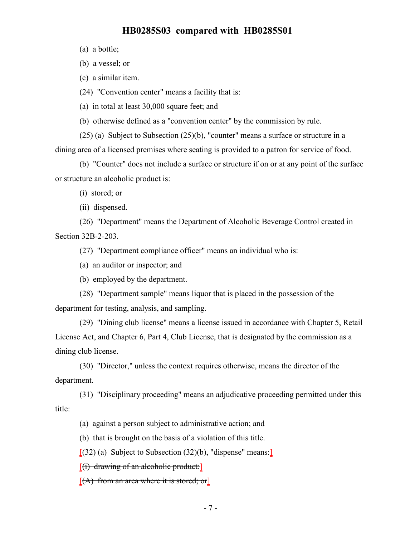(a) a bottle;

(b) a vessel; or

(c) a similar item.

(24) "Convention center" means a facility that is:

(a) in total at least 30,000 square feet; and

(b) otherwise defined as a "convention center" by the commission by rule.

(25) (a) Subject to Subsection (25)(b), "counter" means a surface or structure in a

dining area of a licensed premises where seating is provided to a patron for service of food.

(b) "Counter" does not include a surface or structure if on or at any point of the surface or structure an alcoholic product is:

(i) stored; or

(ii) dispensed.

(26) "Department" means the Department of Alcoholic Beverage Control created in Section 32B-2-203.

(27) "Department compliance officer" means an individual who is:

(a) an auditor or inspector; and

(b) employed by the department.

(28) "Department sample" means liquor that is placed in the possession of the department for testing, analysis, and sampling.

(29) "Dining club license" means a license issued in accordance with Chapter 5, Retail License Act, and Chapter 6, Part 4, Club License, that is designated by the commission as a dining club license.

(30) "Director," unless the context requires otherwise, means the director of the department.

(31) "Disciplinary proceeding" means an adjudicative proceeding permitted under this title:

(a) against a person subject to administrative action; and

(b) that is brought on the basis of a violation of this title.

 $(32)$  (a) Subject to Subsection  $(32)(b)$ , "dispense" means:

 $[(i)$  drawing of an alcoholic product:

 $[(A)$  from an area where it is stored; or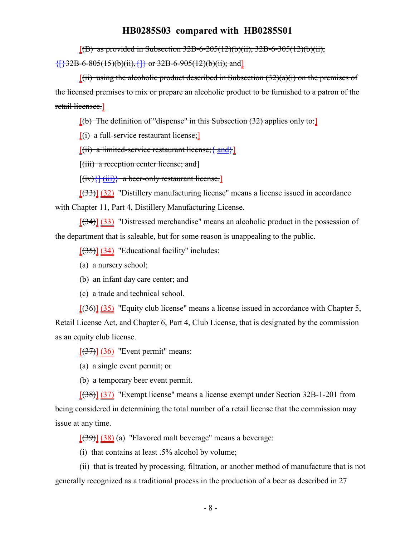$[(B)$  as provided in Subsection 32B-6-205(12)(b)(ii), 32B-6-305(12)(b)(ii),

 ${\{\}\}32B-6-805(15)(b)(ii); {\{\}} or 32B-6-905(12)(b)(ii); and]$ 

 $[(ii)$  using the alcoholic product described in Subsection  $(32)(a)(i)$  on the premises of the licensed premises to mix or prepare an alcoholic product to be furnished to a patron of the retail licensee.]

 $[(b)$  The definition of "dispense" in this Subsection (32) applies only to:

 $[(i)$  a full-service restaurant license;

 $[(ii)$  a limited-service restaurant license;  $\{and\}]$ 

[(iii) a reception center license; and]

 $[(iv)$  $\{[(iii)]\}$  a beer-only restaurant license.

 $[33]$  (32) "Distillery manufacturing license" means a license issued in accordance with Chapter 11, Part 4, Distillery Manufacturing License.

[(34)] (33) "Distressed merchandise" means an alcoholic product in the possession of the department that is saleable, but for some reason is unappealing to the public.

 $[35]$  (34) "Educational facility" includes:

- (a) a nursery school;
- (b) an infant day care center; and
- (c) a trade and technical school.

 $[ (36) ] (35)$  "Equity club license" means a license issued in accordance with Chapter 5,

Retail License Act, and Chapter 6, Part 4, Club License, that is designated by the commission as an equity club license.

 $[37]$  (36) "Event permit" means:

(a) a single event permit; or

(b) a temporary beer event permit.

[(38)] (37) "Exempt license" means a license exempt under Section 32B-1-201 from being considered in determining the total number of a retail license that the commission may issue at any time.

 $[ (39) ] (38)$  (a) "Flavored malt beverage" means a beverage:

(i) that contains at least .5% alcohol by volume;

(ii) that is treated by processing, filtration, or another method of manufacture that is not generally recognized as a traditional process in the production of a beer as described in 27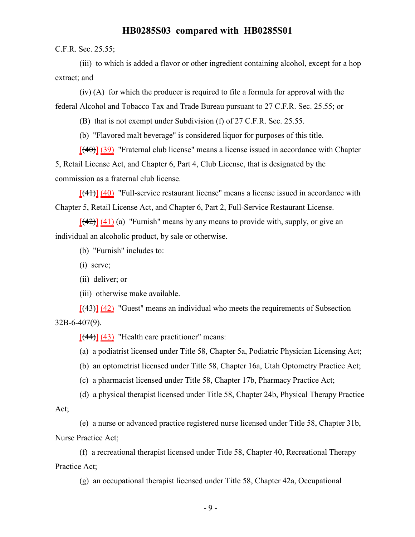C.F.R. Sec. 25.55;

(iii) to which is added a flavor or other ingredient containing alcohol, except for a hop extract; and

(iv) (A) for which the producer is required to file a formula for approval with the federal Alcohol and Tobacco Tax and Trade Bureau pursuant to 27 C.F.R. Sec. 25.55; or

(B) that is not exempt under Subdivision (f) of 27 C.F.R. Sec. 25.55.

(b) "Flavored malt beverage" is considered liquor for purposes of this title.

 $[$ (40)] (39) "Fraternal club license" means a license issued in accordance with Chapter 5, Retail License Act, and Chapter 6, Part 4, Club License, that is designated by the commission as a fraternal club license.

 $[(41)]$   $(40)$  "Full-service restaurant license" means a license issued in accordance with Chapter 5, Retail License Act, and Chapter 6, Part 2, Full-Service Restaurant License.

 $[$ (42)] (41) (a) "Furnish" means by any means to provide with, supply, or give an individual an alcoholic product, by sale or otherwise.

(b) "Furnish" includes to:

(i) serve;

(ii) deliver; or

(iii) otherwise make available.

 $[$ (43)] (42) "Guest" means an individual who meets the requirements of Subsection 32B-6-407(9).

 $[$ (44)] (43) "Health care practitioner" means:

(a) a podiatrist licensed under Title 58, Chapter 5a, Podiatric Physician Licensing Act;

(b) an optometrist licensed under Title 58, Chapter 16a, Utah Optometry Practice Act;

(c) a pharmacist licensed under Title 58, Chapter 17b, Pharmacy Practice Act;

(d) a physical therapist licensed under Title 58, Chapter 24b, Physical Therapy Practice

Act;

(e) a nurse or advanced practice registered nurse licensed under Title 58, Chapter 31b, Nurse Practice Act;

(f) a recreational therapist licensed under Title 58, Chapter 40, Recreational Therapy Practice Act;

(g) an occupational therapist licensed under Title 58, Chapter 42a, Occupational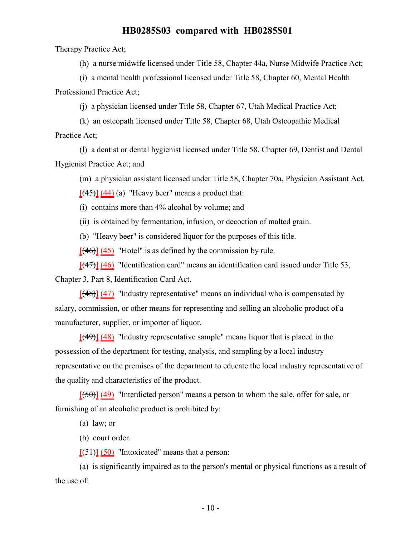Therapy Practice Act;

(h) a nurse midwife licensed under Title 58, Chapter 44a, Nurse Midwife Practice Act;

(i) a mental health professional licensed under Title 58, Chapter 60, Mental Health Professional Practice Act;

(j) a physician licensed under Title 58, Chapter 67, Utah Medical Practice Act;

(k) an osteopath licensed under Title 58, Chapter 68, Utah Osteopathic Medical Practice Act;

(l) a dentist or dental hygienist licensed under Title 58, Chapter 69, Dentist and Dental Hygienist Practice Act; and

(m) a physician assistant licensed under Title 58, Chapter 70a, Physician Assistant Act.

 $[$ (45) $]$  (44) (a) "Heavy beer" means a product that:

(i) contains more than 4% alcohol by volume; and

(ii) is obtained by fermentation, infusion, or decoction of malted grain.

(b) "Heavy beer" is considered liquor for the purposes of this title.

 $[ (46) ] (45)$  "Hotel" is as defined by the commission by rule.

 $[$ (47)] (46) "Identification card" means an identification card issued under Title 53,

Chapter 3, Part 8, Identification Card Act.

 $[(48)]$  (47) "Industry representative" means an individual who is compensated by salary, commission, or other means for representing and selling an alcoholic product of a manufacturer, supplier, or importer of liquor.

 $[$ (49)] (48) "Industry representative sample" means liquor that is placed in the possession of the department for testing, analysis, and sampling by a local industry representative on the premises of the department to educate the local industry representative of the quality and characteristics of the product.

 $[(50)]$  (49) "Interdicted person" means a person to whom the sale, offer for sale, or furnishing of an alcoholic product is prohibited by:

(a) law; or

(b) court order.

 $[ (51) ] (50)$  "Intoxicated" means that a person:

(a) is significantly impaired as to the person's mental or physical functions as a result of the use of: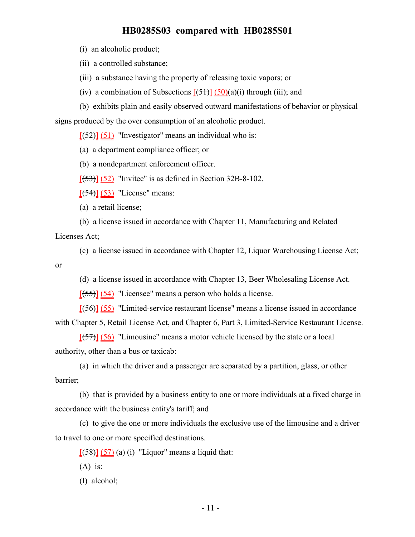(i) an alcoholic product;

(ii) a controlled substance;

(iii) a substance having the property of releasing toxic vapors; or

(iv) a combination of Subsections  $[\frac{1}{2}(\frac{1}{2})](\frac{1}{2}(\alpha)(a)(i))$  through (iii); and

(b) exhibits plain and easily observed outward manifestations of behavior or physical signs produced by the over consumption of an alcoholic product.

 $[ (52) ] (51)$  "Investigator" means an individual who is:

(a) a department compliance officer; or

(b) a nondepartment enforcement officer.

 $[ (53) ] (52)$  "Invitee" is as defined in Section 32B-8-102.

 $[\frac{54}{3}] \ \frac{53}{5}$  "License" means:

(a) a retail license;

(b) a license issued in accordance with Chapter 11, Manufacturing and Related

Licenses Act;

(c) a license issued in accordance with Chapter 12, Liquor Warehousing License Act;

or

(d) a license issued in accordance with Chapter 13, Beer Wholesaling License Act.

[(55)] (54) "Licensee" means a person who holds a license.

[(56)] (55) "Limited-service restaurant license" means a license issued in accordance with Chapter 5, Retail License Act, and Chapter 6, Part 3, Limited-Service Restaurant License.

 $[ (57) ] (56)$  "Limousine" means a motor vehicle licensed by the state or a local authority, other than a bus or taxicab:

(a) in which the driver and a passenger are separated by a partition, glass, or other barrier;

(b) that is provided by a business entity to one or more individuals at a fixed charge in accordance with the business entity's tariff; and

(c) to give the one or more individuals the exclusive use of the limousine and a driver to travel to one or more specified destinations.

 $[ (58) ] (57) (a) (i)$  "Liquor" means a liquid that:

 $(A)$  is:

(I) alcohol;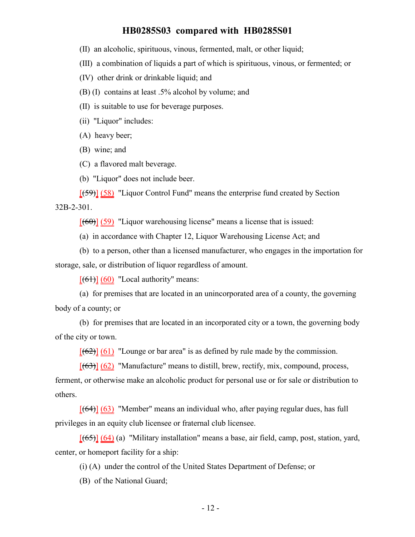- (II) an alcoholic, spirituous, vinous, fermented, malt, or other liquid;
- (III) a combination of liquids a part of which is spirituous, vinous, or fermented; or
- (IV) other drink or drinkable liquid; and
- (B) (I) contains at least .5% alcohol by volume; and
- (II) is suitable to use for beverage purposes.
- (ii) "Liquor" includes:
- (A) heavy beer;
- (B) wine; and
- (C) a flavored malt beverage.
- (b) "Liquor" does not include beer.

[(59)] (58) "Liquor Control Fund" means the enterprise fund created by Section 32B-2-301.

 $[(60)]$  (59) "Liquor warehousing license" means a license that is issued:

(a) in accordance with Chapter 12, Liquor Warehousing License Act; and

(b) to a person, other than a licensed manufacturer, who engages in the importation for storage, sale, or distribution of liquor regardless of amount.

 $[(61)]$  (60) "Local authority" means:

(a) for premises that are located in an unincorporated area of a county, the governing body of a county; or

(b) for premises that are located in an incorporated city or a town, the governing body of the city or town.

 $[(62)]$  (61) "Lounge or bar area" is as defined by rule made by the commission.

 $[(63)]$  (62) "Manufacture" means to distill, brew, rectify, mix, compound, process,

ferment, or otherwise make an alcoholic product for personal use or for sale or distribution to others.

 $[64]$  (63) "Member" means an individual who, after paying regular dues, has full privileges in an equity club licensee or fraternal club licensee.

 $[ (65) ] (64)$  (a) "Military installation" means a base, air field, camp, post, station, yard, center, or homeport facility for a ship:

(i) (A) under the control of the United States Department of Defense; or

(B) of the National Guard;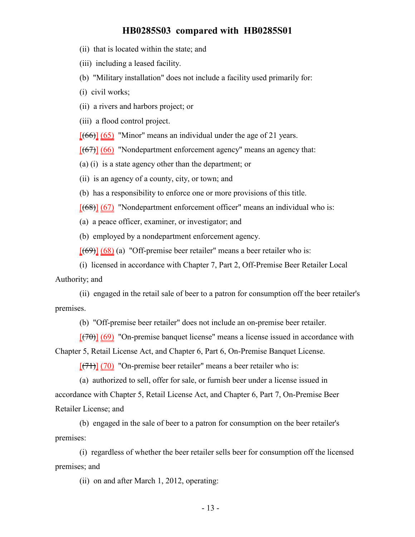(ii) that is located within the state; and

(iii) including a leased facility.

(b) "Military installation" does not include a facility used primarily for:

(i) civil works;

(ii) a rivers and harbors project; or

(iii) a flood control project.

 $[ (66) ] (65)$  "Minor" means an individual under the age of 21 years.

 $[(67)]$  (66) "Nondepartment enforcement agency" means an agency that:

(a) (i) is a state agency other than the department; or

(ii) is an agency of a county, city, or town; and

(b) has a responsibility to enforce one or more provisions of this title.

 $[ (68) ]$  (67) "Nondepartment enforcement officer" means an individual who is:

(a) a peace officer, examiner, or investigator; and

(b) employed by a nondepartment enforcement agency.

 $[(69)]$  (68) (a) "Off-premise beer retailer" means a beer retailer who is:

(i) licensed in accordance with Chapter 7, Part 2, Off-Premise Beer Retailer Local Authority; and

(ii) engaged in the retail sale of beer to a patron for consumption off the beer retailer's premises.

(b) "Off-premise beer retailer" does not include an on-premise beer retailer.

 $[(70)]$  (69) "On-premise banquet license" means a license issued in accordance with

Chapter 5, Retail License Act, and Chapter 6, Part 6, On-Premise Banquet License.

 $[$ (71)] (70) "On-premise beer retailer" means a beer retailer who is:

(a) authorized to sell, offer for sale, or furnish beer under a license issued in accordance with Chapter 5, Retail License Act, and Chapter 6, Part 7, On-Premise Beer Retailer License; and

(b) engaged in the sale of beer to a patron for consumption on the beer retailer's premises:

(i) regardless of whether the beer retailer sells beer for consumption off the licensed premises; and

(ii) on and after March 1, 2012, operating: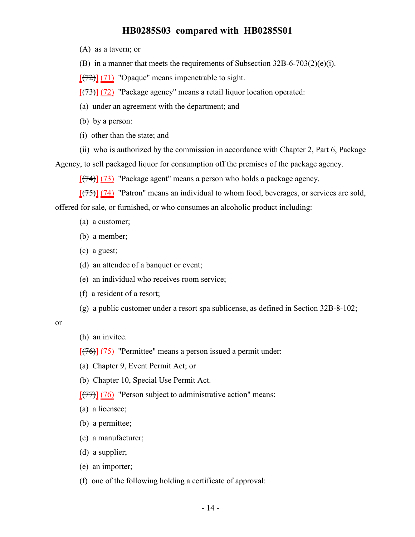(A) as a tavern; or

(B) in a manner that meets the requirements of Subsection 32B-6-703(2)(e)(i).

 $[(72)]$  (71) "Opaque" means impenetrable to sight.

 $[ (73) ] (72)$  "Package agency" means a retail liquor location operated:

(a) under an agreement with the department; and

(b) by a person:

(i) other than the state; and

(ii) who is authorized by the commission in accordance with Chapter 2, Part 6, Package

Agency, to sell packaged liquor for consumption off the premises of the package agency.

 $[(74)]$  (73) "Package agent" means a person who holds a package agency.

 $[ (75) ]$  (74) "Patron" means an individual to whom food, beverages, or services are sold, offered for sale, or furnished, or who consumes an alcoholic product including:

- (a) a customer;
- (b) a member;
- (c) a guest;
- (d) an attendee of a banquet or event;
- (e) an individual who receives room service;
- (f) a resident of a resort;
- (g) a public customer under a resort spa sublicense, as defined in Section 32B-8-102;

or

(h) an invitee.

 $[ (76) ] (75)$  "Permittee" means a person issued a permit under:

- (a) Chapter 9, Event Permit Act; or
- (b) Chapter 10, Special Use Permit Act.

 $[ (77) ] (76)$  "Person subject to administrative action" means:

(a) a licensee;

- (b) a permittee;
- (c) a manufacturer;
- (d) a supplier;
- (e) an importer;
- (f) one of the following holding a certificate of approval: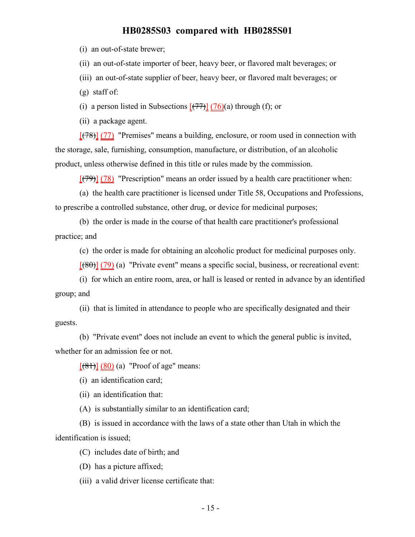(i) an out-of-state brewer;

(ii) an out-of-state importer of beer, heavy beer, or flavored malt beverages; or

(iii) an out-of-state supplier of beer, heavy beer, or flavored malt beverages; or

(g) staff of:

(i) a person listed in Subsections  $[\overline{(+77)}] \overline{(76)}$ (a) through (f); or

(ii) a package agent.

[(78)] (77) "Premises" means a building, enclosure, or room used in connection with the storage, sale, furnishing, consumption, manufacture, or distribution, of an alcoholic product, unless otherwise defined in this title or rules made by the commission.

 $[(79)] (78)$  "Prescription" means an order issued by a health care practitioner when:

(a) the health care practitioner is licensed under Title 58, Occupations and Professions, to prescribe a controlled substance, other drug, or device for medicinal purposes;

(b) the order is made in the course of that health care practitioner's professional practice; and

(c) the order is made for obtaining an alcoholic product for medicinal purposes only.

 $[ (80) ] (79)$  (a) "Private event" means a specific social, business, or recreational event:

(i) for which an entire room, area, or hall is leased or rented in advance by an identified group; and

(ii) that is limited in attendance to people who are specifically designated and their guests.

(b) "Private event" does not include an event to which the general public is invited, whether for an admission fee or not.

 $[ (81) ] (80) (a)$  "Proof of age" means:

(i) an identification card;

(ii) an identification that:

(A) is substantially similar to an identification card;

(B) is issued in accordance with the laws of a state other than Utah in which the identification is issued;

(C) includes date of birth; and

(D) has a picture affixed;

(iii) a valid driver license certificate that: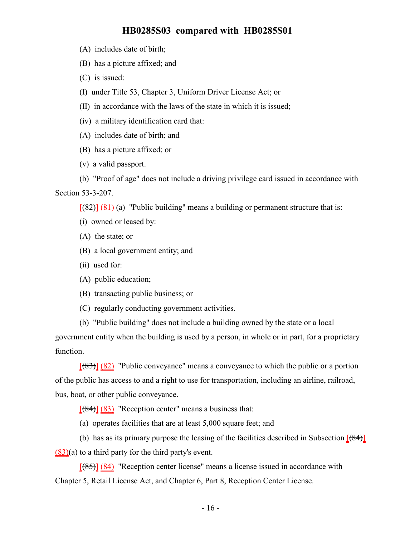- (A) includes date of birth;
- (B) has a picture affixed; and
- (C) is issued:
- (I) under Title 53, Chapter 3, Uniform Driver License Act; or
- (II) in accordance with the laws of the state in which it is issued;
- (iv) a military identification card that:
- (A) includes date of birth; and
- (B) has a picture affixed; or
- (v) a valid passport.
- (b) "Proof of age" does not include a driving privilege card issued in accordance with Section 53-3-207.

 $[(82)] (81)$  (a) "Public building" means a building or permanent structure that is:

- (i) owned or leased by:
- (A) the state; or
- (B) a local government entity; and
- (ii) used for:
- (A) public education;
- (B) transacting public business; or
- (C) regularly conducting government activities.
- (b) "Public building" does not include a building owned by the state or a local government entity when the building is used by a person, in whole or in part, for a proprietary function.

 $[ (83) ] (82)$  "Public conveyance" means a conveyance to which the public or a portion of the public has access to and a right to use for transportation, including an airline, railroad, bus, boat, or other public conveyance.

 $[ (84) ] (83)$  "Reception center" means a business that:

(a) operates facilities that are at least 5,000 square feet; and

(b) has as its primary purpose the leasing of the facilities described in Subsection  $[(84)]$ (83)(a) to a third party for the third party's event.

 $[ (85) ] (84)$  "Reception center license" means a license issued in accordance with Chapter 5, Retail License Act, and Chapter 6, Part 8, Reception Center License.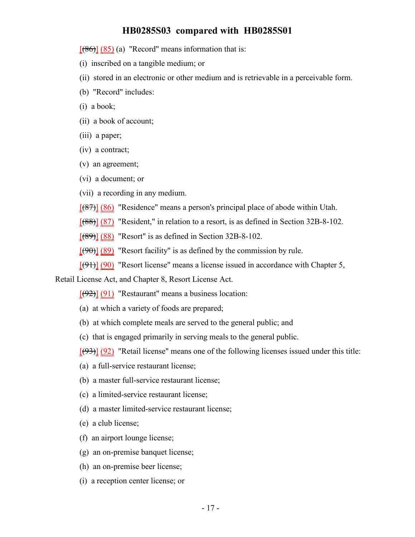$[ (86) ] (85)$  (a) "Record" means information that is:

(i) inscribed on a tangible medium; or

- (ii) stored in an electronic or other medium and is retrievable in a perceivable form.
- (b) "Record" includes:
- (i) a book;
- (ii) a book of account;
- (iii) a paper;
- (iv) a contract;
- (v) an agreement;
- (vi) a document; or
- (vii) a recording in any medium.
- [(87)] (86) "Residence" means a person's principal place of abode within Utah.
- [(88)] (87) "Resident," in relation to a resort, is as defined in Section 32B-8-102.
- $[ (89) ] (88)$  "Resort" is as defined in Section 32B-8-102.
- $[ (90) ] (89)$  "Resort facility" is as defined by the commission by rule.
- $[ (91) ] (90)$  "Resort license" means a license issued in accordance with Chapter 5,

Retail License Act, and Chapter 8, Resort License Act.

 $[(92)] (91)$  "Restaurant" means a business location:

- (a) at which a variety of foods are prepared;
- (b) at which complete meals are served to the general public; and
- (c) that is engaged primarily in serving meals to the general public.

 $[ (93) ] (92)$  "Retail license" means one of the following licenses issued under this title:

- (a) a full-service restaurant license;
- (b) a master full-service restaurant license;
- (c) a limited-service restaurant license;
- (d) a master limited-service restaurant license;
- (e) a club license;
- (f) an airport lounge license;
- (g) an on-premise banquet license;
- (h) an on-premise beer license;
- (i) a reception center license; or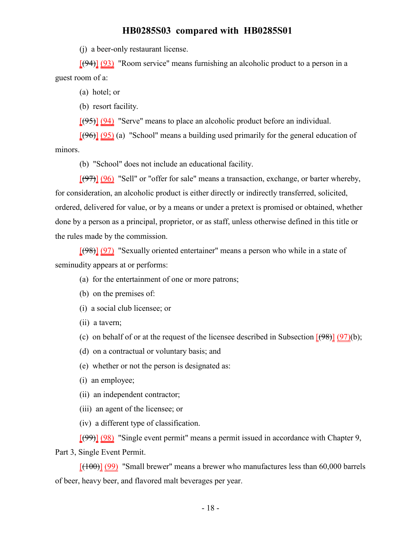(j) a beer-only restaurant license.

[(94)] (93) "Room service" means furnishing an alcoholic product to a person in a guest room of a:

(a) hotel; or

(b) resort facility.

[(95)] (94) "Serve" means to place an alcoholic product before an individual.

 $[ (96) ] (95)$  (a) "School" means a building used primarily for the general education of minors.

(b) "School" does not include an educational facility.

[(97)] (96) "Sell" or "offer for sale" means a transaction, exchange, or barter whereby, for consideration, an alcoholic product is either directly or indirectly transferred, solicited, ordered, delivered for value, or by a means or under a pretext is promised or obtained, whether done by a person as a principal, proprietor, or as staff, unless otherwise defined in this title or the rules made by the commission.

[(98)] (97) "Sexually oriented entertainer" means a person who while in a state of seminudity appears at or performs:

- (a) for the entertainment of one or more patrons;
- (b) on the premises of:
- (i) a social club licensee; or
- (ii) a tavern;
- (c) on behalf of or at the request of the licensee described in Subsection  $(98)$  (97)(b);
- (d) on a contractual or voluntary basis; and
- (e) whether or not the person is designated as:
- (i) an employee;
- (ii) an independent contractor;
- (iii) an agent of the licensee; or
- (iv) a different type of classification.

[(99)] (98) "Single event permit" means a permit issued in accordance with Chapter 9, Part 3, Single Event Permit.

 $[(100)]$  (99) "Small brewer" means a brewer who manufactures less than 60,000 barrels of beer, heavy beer, and flavored malt beverages per year.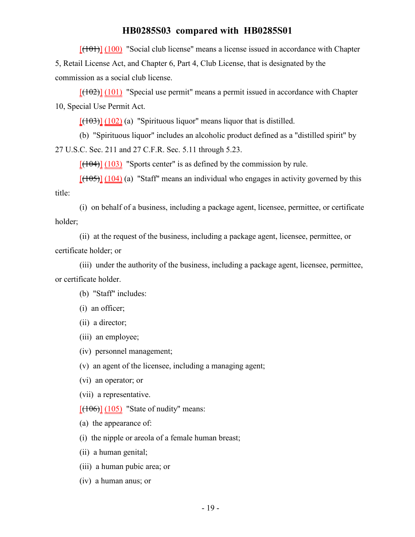$[({101})] (100)$  "Social club license" means a license issued in accordance with Chapter

5, Retail License Act, and Chapter 6, Part 4, Club License, that is designated by the commission as a social club license.

 $[({102})] (101)$  "Special use permit" means a permit issued in accordance with Chapter 10, Special Use Permit Act.

 $[(103)]$   $(102)$  (a) "Spirituous liquor" means liquor that is distilled.

(b) "Spirituous liquor" includes an alcoholic product defined as a "distilled spirit" by 27 U.S.C. Sec. 211 and 27 C.F.R. Sec. 5.11 through 5.23.

 $[(104)]$   $(103)$  "Sports center" is as defined by the commission by rule.

 $[(105)]$   $(104)$  (a) "Staff" means an individual who engages in activity governed by this title:

(i) on behalf of a business, including a package agent, licensee, permittee, or certificate holder;

(ii) at the request of the business, including a package agent, licensee, permittee, or certificate holder; or

(iii) under the authority of the business, including a package agent, licensee, permittee, or certificate holder.

(b) "Staff" includes:

(i) an officer;

(ii) a director;

(iii) an employee;

(iv) personnel management;

(v) an agent of the licensee, including a managing agent;

(vi) an operator; or

(vii) a representative.

 $[ (106) ] (105)$  "State of nudity" means:

(a) the appearance of:

(i) the nipple or areola of a female human breast;

(ii) a human genital;

(iii) a human pubic area; or

(iv) a human anus; or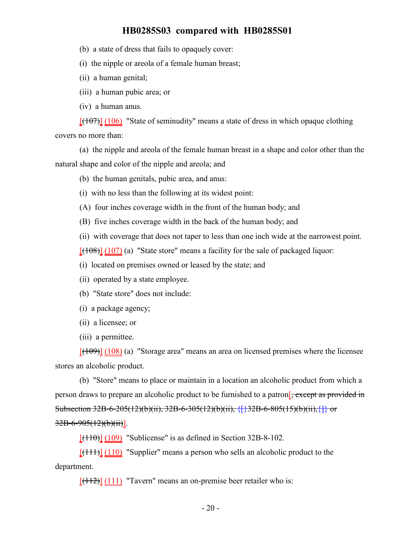(b) a state of dress that fails to opaquely cover:

(i) the nipple or areola of a female human breast;

(ii) a human genital;

(iii) a human pubic area; or

(iv) a human anus.

 $[({107})] (106)$  "State of seminudity" means a state of dress in which opaque clothing covers no more than:

(a) the nipple and areola of the female human breast in a shape and color other than the natural shape and color of the nipple and areola; and

(b) the human genitals, pubic area, and anus:

- (i) with no less than the following at its widest point:
- (A) four inches coverage width in the front of the human body; and
- (B) five inches coverage width in the back of the human body; and

(ii) with coverage that does not taper to less than one inch wide at the narrowest point.

 $[ (108) ] (107)$  (a) "State store" means a facility for the sale of packaged liquor:

(i) located on premises owned or leased by the state; and

- (ii) operated by a state employee.
- (b) "State store" does not include:
- (i) a package agency;
- (ii) a licensee; or
- (iii) a permittee.

 $[ (109)] (108)$  (a) "Storage area" means an area on licensed premises where the licensee stores an alcoholic product.

(b) "Store" means to place or maintain in a location an alcoholic product from which a person draws to prepare an alcoholic product to be furnished to a patron<sup>[</sup>, except as provided in Subsection 32B-6-205(12)(b)(ii), 32B-6-305(12)(b)(ii),  $\{\}\$ 32B-6-805(15)(b)(ii),  $\{\}\}$  or  $32B - 6 - 905(12)(b)(ii)$ .

 $[ (110) ] (109)$  "Sublicense" is as defined in Section 32B-8-102.

 $[ (111) ] (110)$  "Supplier" means a person who sells an alcoholic product to the department.

 $[(112)]$  (111) "Tavern" means an on-premise beer retailer who is: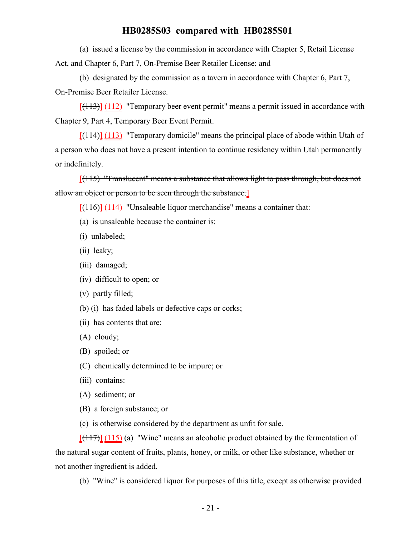(a) issued a license by the commission in accordance with Chapter 5, Retail License Act, and Chapter 6, Part 7, On-Premise Beer Retailer License; and

(b) designated by the commission as a tavern in accordance with Chapter 6, Part 7, On-Premise Beer Retailer License.

 $[ (113) ] (112)$  "Temporary beer event permit" means a permit issued in accordance with Chapter 9, Part 4, Temporary Beer Event Permit.

 $[ (114) ] (113)$  "Temporary domicile" means the principal place of abode within Utah of a person who does not have a present intention to continue residency within Utah permanently or indefinitely.

[(115) "Translucent" means a substance that allows light to pass through, but does not allow an object or person to be seen through the substance.

 $[(116)]$  (114) "Unsaleable liquor merchandise" means a container that:

- (a) is unsaleable because the container is:
- (i) unlabeled;
- (ii) leaky;
- (iii) damaged;
- (iv) difficult to open; or
- (v) partly filled;
- (b) (i) has faded labels or defective caps or corks;
- (ii) has contents that are:
- (A) cloudy;
- (B) spoiled; or
- (C) chemically determined to be impure; or
- (iii) contains:
- (A) sediment; or
- (B) a foreign substance; or
- (c) is otherwise considered by the department as unfit for sale.

 $[ (117) ] (115)$  (a) "Wine" means an alcoholic product obtained by the fermentation of the natural sugar content of fruits, plants, honey, or milk, or other like substance, whether or not another ingredient is added.

(b) "Wine" is considered liquor for purposes of this title, except as otherwise provided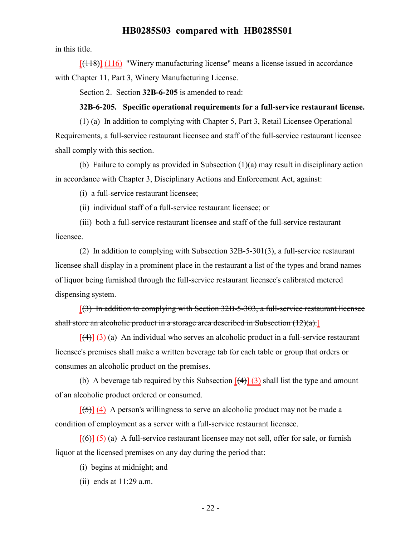in this title.

 $[(118)]$  (116) "Winery manufacturing license" means a license issued in accordance with Chapter 11, Part 3, Winery Manufacturing License.

Section 2. Section **32B-6-205** is amended to read:

#### **32B-6-205. Specific operational requirements for a full-service restaurant license.**

(1) (a) In addition to complying with Chapter 5, Part 3, Retail Licensee Operational Requirements, a full-service restaurant licensee and staff of the full-service restaurant licensee shall comply with this section.

(b) Failure to comply as provided in Subsection (1)(a) may result in disciplinary action in accordance with Chapter 3, Disciplinary Actions and Enforcement Act, against:

(i) a full-service restaurant licensee;

(ii) individual staff of a full-service restaurant licensee; or

(iii) both a full-service restaurant licensee and staff of the full-service restaurant licensee.

(2) In addition to complying with Subsection 32B-5-301(3), a full-service restaurant licensee shall display in a prominent place in the restaurant a list of the types and brand names of liquor being furnished through the full-service restaurant licensee's calibrated metered dispensing system.

 $(3)$  In addition to complying with Section 32B-5-303, a full-service restaurant licensee shall store an alcoholic product in a storage area described in Subsection (12)(a).

 $[(4)]$  (3) (a) An individual who serves an alcoholic product in a full-service restaurant licensee's premises shall make a written beverage tab for each table or group that orders or consumes an alcoholic product on the premises.

(b) A beverage tab required by this Subsection  $\left[\frac{4}{3}\right]$  (3) shall list the type and amount of an alcoholic product ordered or consumed.

 $[$ (5)] (4) A person's willingness to serve an alcoholic product may not be made a condition of employment as a server with a full-service restaurant licensee.

 $[66]$  (5) (a) A full-service restaurant licensee may not sell, offer for sale, or furnish liquor at the licensed premises on any day during the period that:

- (i) begins at midnight; and
- (ii) ends at 11:29 a.m.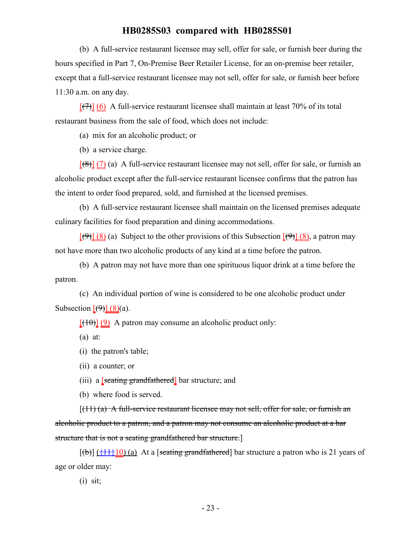(b) A full-service restaurant licensee may sell, offer for sale, or furnish beer during the hours specified in Part 7, On-Premise Beer Retailer License, for an on-premise beer retailer, except that a full-service restaurant licensee may not sell, offer for sale, or furnish beer before 11:30 a.m. on any day.

 $[$ (7)] (6) A full-service restaurant licensee shall maintain at least 70% of its total restaurant business from the sale of food, which does not include:

(a) mix for an alcoholic product; or

(b) a service charge.

 $[68]$  (7) (a) A full-service restaurant licensee may not sell, offer for sale, or furnish an alcoholic product except after the full-service restaurant licensee confirms that the patron has the intent to order food prepared, sold, and furnished at the licensed premises.

(b) A full-service restaurant licensee shall maintain on the licensed premises adequate culinary facilities for food preparation and dining accommodations.

 $[(9)] (8)$  (a) Subject to the other provisions of this Subsection  $[(9)] (8)$ , a patron may not have more than two alcoholic products of any kind at a time before the patron.

(b) A patron may not have more than one spirituous liquor drink at a time before the patron.

(c) An individual portion of wine is considered to be one alcoholic product under Subsection  $[\theta] (8)(a)$ .

 $[(10)(9)$  A patron may consume an alcoholic product only:

(a) at:

(i) the patron's table;

(ii) a counter; or

(iii) a  $[$ seating grandfathered $]$  bar structure; and

(b) where food is served.

 $[(11)(a)$  A full-service restaurant licensee may not sell, offer for sale, or furnish an alcoholic product to a patron, and a patron may not consume an alcoholic product at a bar structure that is not a seating grandfathered bar structure.]

 $[\theta]$  ( $\{\dagger\}$ ) (a) At a [seating grandfathered] bar structure a patron who is 21 years of age or older may:

(i) sit;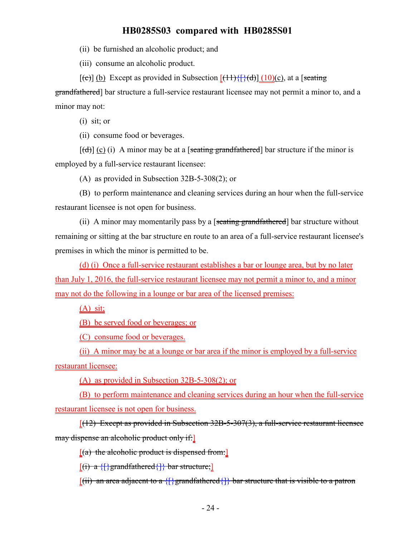(ii) be furnished an alcoholic product; and

(iii) consume an alcoholic product.

 $[(e)] (b)$  Except as provided in Subsection  $[(11)\{[(d)] (10)(c)}$ , at a [seating]

grandfathered] bar structure a full-service restaurant licensee may not permit a minor to, and a minor may not:

(i) sit; or

(ii) consume food or beverages.

 $[(d)]$  (c) (i) A minor may be at a [seating grandfathered] bar structure if the minor is employed by a full-service restaurant licensee:

(A) as provided in Subsection 32B-5-308(2); or

(B) to perform maintenance and cleaning services during an hour when the full-service restaurant licensee is not open for business.

(ii) A minor may momentarily pass by a [seating grandfathered] bar structure without remaining or sitting at the bar structure en route to an area of a full-service restaurant licensee's premises in which the minor is permitted to be.

(d) (i) Once a full-service restaurant establishes a bar or lounge area, but by no later than July 1, 2016, the full-service restaurant licensee may not permit a minor to, and a minor may not do the following in a lounge or bar area of the licensed premises:

 $(A)$  sit;

(B) be served food or beverages; or

(C) consume food or beverages.

(ii) A minor may be at a lounge or bar area if the minor is employed by a full-service restaurant licensee:

(A) as provided in Subsection 32B-5-308(2); or

(B) to perform maintenance and cleaning services during an hour when the full-service restaurant licensee is not open for business.

 $[(12)$  Except as provided in Subsection 32B-5-307(3), a full-service restaurant licensee may dispense an alcoholic product only if:

 $[(a)$  the alcoholic product is dispensed from:

 $[(i) a \{\}$  grandfathered $\{\}$  bar structure;

 $[(ii)$  an area adjacent to a  ${]}$  grandfathered ${]}$  bar structure that is visible to a patron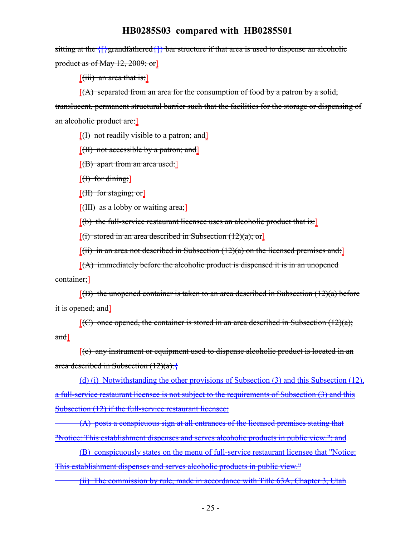sitting at the {[}grandfathered{]} bar structure if that area is used to dispense an alcoholic product as of May 12, 2009; or]

 $[(iii)$  an area that is:

 $[(A)$  separated from an area for the consumption of food by a patron by a solid, translucent, permanent structural barrier such that the facilities for the storage or dispensing of an alcoholic product are:]

 $[$ (I) not readily visible to a patron; and  $[$ 

 $[({\rm H})$  not accessible by a patron; and  $]$ 

 $[$ (B) apart from an area used: $]$ 

 $[f]$  for dining;

[(II) for staging; or]

 $[(**HH**)$  as a lobby or waiting area;

[(b) the full-service restaurant licensee uses an alcoholic product that is:]

 $[(i)$  stored in an area described in Subsection  $(12)(a)$ ; or

 $[(ii)$  in an area not described in Subsection  $(12)(a)$  on the licensed premises and:

 $[(A)$  immediately before the alcoholic product is dispensed it is in an unopened container;]

 $[$ (B) the unopened container is taken to an area described in Subsection (12)(a) before it is opened; and]

 $[(C)$  once opened, the container is stored in an area described in Subsection (12)(a); and]

 $[(c)$  any instrument or equipment used to dispense alcoholic product is located in an area described in Subsection  $(12)(a)$ .

(d) (i) Notwithstanding the other provisions of Subsection (3) and this Subsection (12), a full-service restaurant licensee is not subject to the requirements of Subsection (3) and this Subsection (12) if the full-service restaurant licensee:

(A) posts a conspicuous sign at all entrances of the licensed premises stating that "Notice: This establishment dispenses and serves alcoholic products in public view."; and

(B) conspicuously states on the menu of full-service restaurant licensee that "Notice: This establishment dispenses and serves alcoholic products in public view."

(ii) The commission by rule, made in accordance with Title 63A, Chapter 3, Utah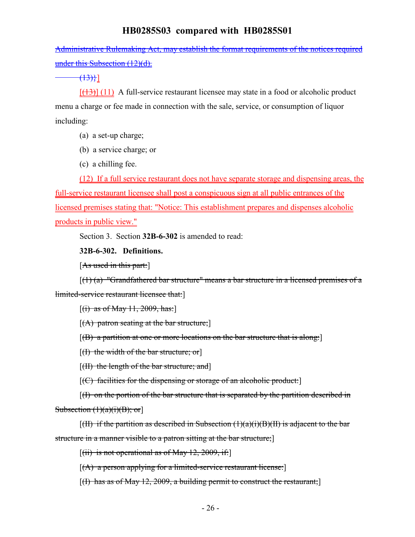Administrative Rulemaking Act, may establish the format requirements of the notices required under this Subsection (12)(d).

 $(13)$ }]

 $[(13)]$  (11) A full-service restaurant licensee may state in a food or alcoholic product menu a charge or fee made in connection with the sale, service, or consumption of liquor including:

- (a) a set-up charge;
- (b) a service charge; or
- (c) a chilling fee.

(12) If a full service restaurant does not have separate storage and dispensing areas, the full-service restaurant licensee shall post a conspicuous sign at all public entrances of the licensed premises stating that: "Notice: This establishment prepares and dispenses alcoholic products in public view."

Section 3. Section **32B-6-302** is amended to read:

## **32B-6-302. Definitions.**

[As used in this part:]

 $[(1)$  (a) "Grandfathered bar structure" means a bar structure in a licensed premises of a limited-service restaurant licensee that:]

 $[(i)$  as of May 11, 2009, has:

- $[(A)$  patron seating at the bar structure;
- $[(B)$  a partition at one or more locations on the bar structure that is along:
- $[(1)$  the width of the bar structure; or
- [(II) the length of the bar structure; and]
- $[(C)$  facilities for the dispensing or storage of an alcoholic product:

[(I) on the portion of the bar structure that is separated by the partition described in Subsection  $(1)(a)(i)(B)$ ; or

 $[(\text{II})$  if the partition as described in Subsection  $(1)(a)(i)(B)(H)$  is adjacent to the bar structure in a manner visible to a patron sitting at the bar structure;

 $[(ii)$  is not operational as of May 12, 2009, if:

 $[(A)$  a person applying for a limited-service restaurant license:

 $[(1)$  has as of May 12, 2009, a building permit to construct the restaurant;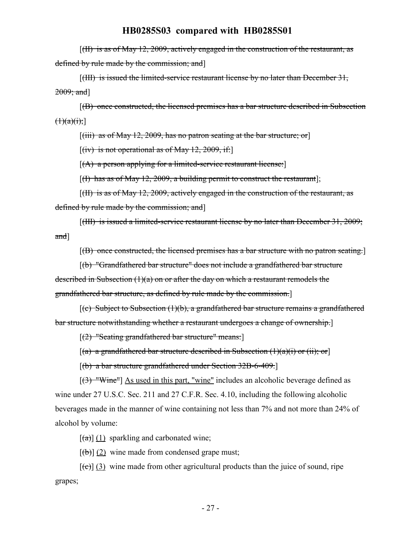[(II) is as of May 12, 2009, actively engaged in the construction of the restaurant, as defined by rule made by the commission; and]

[(III) is issued the limited-service restaurant license by no later than December 31,  $2009$ ; and]

[(B) once constructed, the licensed premises has a bar structure described in Subsection  $(1)(a)(i);$ 

 $[(iii)$  as of May 12, 2009, has no patron seating at the bar structure; or

 $[(iv)$  is not operational as of May 12, 2009, if:

[(A) a person applying for a limited-service restaurant license:]

[(I) has as of May 12, 2009, a building permit to construct the restaurant];

[(II) is as of May 12, 2009, actively engaged in the construction of the restaurant, as defined by rule made by the commission; and

[(III) is issued a limited-service restaurant license by no later than December 31, 2009; and]

[(B) once constructed, the licensed premises has a bar structure with no patron seating.]

[(b) "Grandfathered bar structure" does not include a grandfathered bar structure described in Subsection (1)(a) on or after the day on which a restaurant remodels the grandfathered bar structure, as defined by rule made by the commission.]

 $[(c)$  Subject to Subsection  $(1)(b)$ , a grandfathered bar structure remains a grandfathered bar structure notwithstanding whether a restaurant undergoes a change of ownership.]

[(2) "Seating grandfathered bar structure" means:]

 $[(a)$  a grandfathered bar structure described in Subsection  $(1)(a)(i)$  or  $(ii);$  or

[(b) a bar structure grandfathered under Section 32B-6-409.]

[(3) "Wine"] As used in this part, "wine" includes an alcoholic beverage defined as wine under 27 U.S.C. Sec. 211 and 27 C.F.R. Sec. 4.10, including the following alcoholic beverages made in the manner of wine containing not less than 7% and not more than 24% of alcohol by volume:

 $\left[\frac{(\mathbf{a})}{(1)}\right]$  (1) sparkling and carbonated wine;

 $[\phi]$  (2) wine made from condensed grape must;

 $[\text{e}(\epsilon)]$  (3) wine made from other agricultural products than the juice of sound, ripe grapes;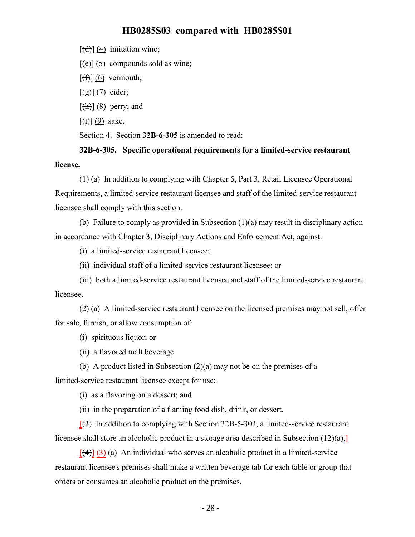$[\overrightarrow{d}]$  (4) imitation wine;

 $[\text{(\texttt{e})}]$  (5) compounds sold as wine;

 $[f(f)]$  (6) vermouth;

 $\left[\frac{1}{2}\right] \left(\frac{7}{2}\right)$  cider;

 $[\frac{h}{\hbar}][8]$  perry; and

 $\left[\left(\frac{1}{1}\right)\right]$  (9) sake.

Section 4. Section **32B-6-305** is amended to read:

**32B-6-305. Specific operational requirements for a limited-service restaurant license.**

(1) (a) In addition to complying with Chapter 5, Part 3, Retail Licensee Operational Requirements, a limited-service restaurant licensee and staff of the limited-service restaurant licensee shall comply with this section.

(b) Failure to comply as provided in Subsection (1)(a) may result in disciplinary action in accordance with Chapter 3, Disciplinary Actions and Enforcement Act, against:

(i) a limited-service restaurant licensee;

(ii) individual staff of a limited-service restaurant licensee; or

(iii) both a limited-service restaurant licensee and staff of the limited-service restaurant licensee.

(2) (a) A limited-service restaurant licensee on the licensed premises may not sell, offer for sale, furnish, or allow consumption of:

(i) spirituous liquor; or

(ii) a flavored malt beverage.

(b) A product listed in Subsection (2)(a) may not be on the premises of a

limited-service restaurant licensee except for use:

(i) as a flavoring on a dessert; and

(ii) in the preparation of a flaming food dish, drink, or dessert.

[(3) In addition to complying with Section 32B-5-303, a limited-service restaurant licensee shall store an alcoholic product in a storage area described in Subsection (12)(a).]

 $[\frac{4}{3}]$  (3) (a) An individual who serves an alcoholic product in a limited-service restaurant licensee's premises shall make a written beverage tab for each table or group that orders or consumes an alcoholic product on the premises.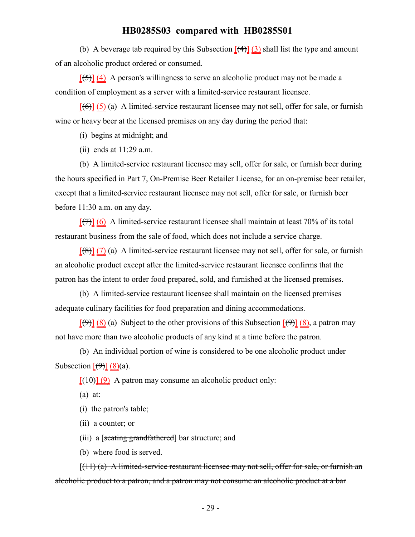(b) A beverage tab required by this Subsection  $\left[\frac{4}{3}\right]$  (3) shall list the type and amount of an alcoholic product ordered or consumed.

 $[\frac{(-5)}{4}]$  (4) A person's willingness to serve an alcoholic product may not be made a condition of employment as a server with a limited-service restaurant licensee.

 $[(6)]$  (5) (a) A limited-service restaurant licensee may not sell, offer for sale, or furnish wine or heavy beer at the licensed premises on any day during the period that:

(i) begins at midnight; and

(ii) ends at 11:29 a.m.

(b) A limited-service restaurant licensee may sell, offer for sale, or furnish beer during the hours specified in Part 7, On-Premise Beer Retailer License, for an on-premise beer retailer, except that a limited-service restaurant licensee may not sell, offer for sale, or furnish beer before 11:30 a.m. on any day.

 $[\frac{(7)}{(6)}]$  A limited-service restaurant licensee shall maintain at least 70% of its total restaurant business from the sale of food, which does not include a service charge.

 $[68]$  (7) (a) A limited-service restaurant licensee may not sell, offer for sale, or furnish an alcoholic product except after the limited-service restaurant licensee confirms that the patron has the intent to order food prepared, sold, and furnished at the licensed premises.

(b) A limited-service restaurant licensee shall maintain on the licensed premises adequate culinary facilities for food preparation and dining accommodations.

 $[(9)] (8)$  (a) Subject to the other provisions of this Subsection  $[(9)] (8)$ , a patron may not have more than two alcoholic products of any kind at a time before the patron.

(b) An individual portion of wine is considered to be one alcoholic product under Subsection  $\left[\left(4\right)\right] (8)(a)$ .

 $[(10)(9)$  A patron may consume an alcoholic product only:

(a) at:

(i) the patron's table;

(ii) a counter; or

(iii) a [seating grandfathered] bar structure; and

(b) where food is served.

 $[(11)(a)$  A limited-service restaurant licensee may not sell, offer for sale, or furnish an alcoholic product to a patron, and a patron may not consume an alcoholic product at a bar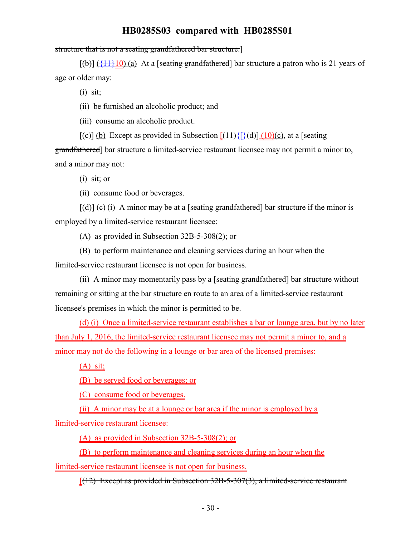structure that is not a seating grandfathered bar structure.]

 $[(b)]$   $(11)$   $(1)$   $(a)$  At a [seating grandfathered] bar structure a patron who is 21 years of age or older may:

(i) sit;

(ii) be furnished an alcoholic product; and

(iii) consume an alcoholic product.

 $[(e)]$  (b) Except as provided in Subsection  $[(11)\{[(d)] (10)(c)}$ , at a [seating]

grandfathered] bar structure a limited-service restaurant licensee may not permit a minor to, and a minor may not:

(i) sit; or

(ii) consume food or beverages.

 $[(d)] (c) (i)$  A minor may be at a [seating grandfathered] bar structure if the minor is employed by a limited-service restaurant licensee:

(A) as provided in Subsection 32B-5-308(2); or

(B) to perform maintenance and cleaning services during an hour when the limited-service restaurant licensee is not open for business.

(ii) A minor may momentarily pass by a [seating grandfathered] bar structure without remaining or sitting at the bar structure en route to an area of a limited-service restaurant licensee's premises in which the minor is permitted to be.

(d) (i) Once a limited-service restaurant establishes a bar or lounge area, but by no later than July 1, 2016, the limited-service restaurant licensee may not permit a minor to, and a minor may not do the following in a lounge or bar area of the licensed premises:

(A) sit;

(B) be served food or beverages; or

(C) consume food or beverages.

(ii) A minor may be at a lounge or bar area if the minor is employed by a limited-service restaurant licensee:

(A) as provided in Subsection 32B-5-308(2); or

(B) to perform maintenance and cleaning services during an hour when the

limited-service restaurant licensee is not open for business.

 $[(12)$  Except as provided in Subsection 32B-5-307(3), a limited-service restaurant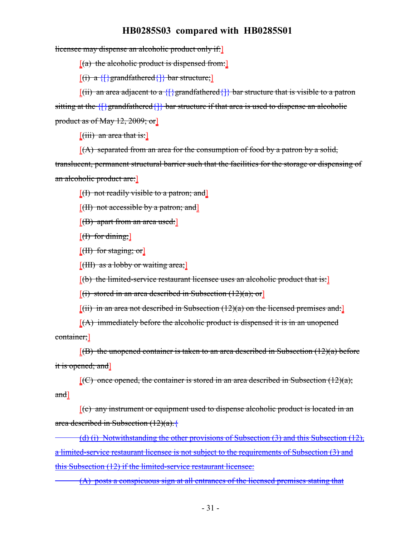licensee may dispense an alcoholic product only if:

 $[(a)$  the alcoholic product is dispensed from:

 $[(i) a \{\}$ grandfathered $\{\}$  bar structure;

 $[(ii)$  an area adjacent to a  $\{\}$  grandfathered $\{\}$  bar structure that is visible to a patron sitting at the  $\{\}$  grandfathered $\{\}$  bar structure if that area is used to dispense an alcoholic product as of May 12, 2009; or

 $[(iii)$  an area that is:

 $[(A)$  separated from an area for the consumption of food by a patron by a solid,

translucent, permanent structural barrier such that the facilities for the storage or dispensing of an alcoholic product are:]

 $[$ (I) not readily visible to a patron; and  $[$ 

 $[$ (II) not accessible by a patron; and  $[$ 

 $[$ (B) apart from an area used:

 $[$ (I) for dining;  $]$ 

[(II) for staging; or]

 $[$ (III) as a lobby or waiting area; $]$ 

 $[(b)$  the limited-service restaurant licensee uses an alcoholic product that is:

 $[(i)$  stored in an area described in Subsection  $(12)(a)$ ; or

 $[(ii)$  in an area not described in Subsection (12)(a) on the licensed premises and:

 $[(A)$  immediately before the alcoholic product is dispensed it is in an unopened container;]

 $[$ (B) the unopened container is taken to an area described in Subsection (12)(a) before it is opened; and

 $[(C)$  once opened, the container is stored in an area described in Subsection (12)(a); and]

[(c) any instrument or equipment used to dispense alcoholic product is located in an area described in Subsection  $(12)(a)$ . {

(d) (i) Notwithstanding the other provisions of Subsection (3) and this Subsection (12), a limited-service restaurant licensee is not subject to the requirements of Subsection (3) and this Subsection (12) if the limited-service restaurant licensee:

(A) posts a conspicuous sign at all entrances of the licensed premises stating that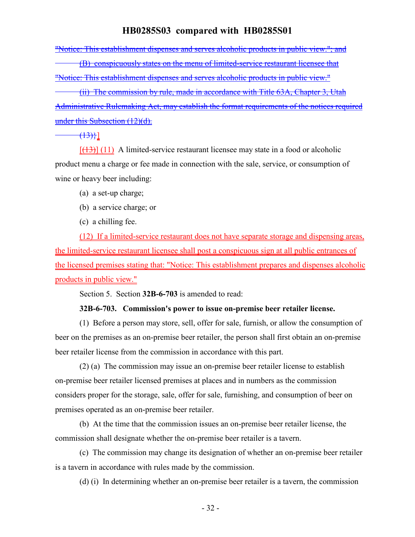"Notice: This establishment dispenses and serves alcoholic products in public view."; and

(B) conspicuously states on the menu of limited-service restaurant licensee that "Notice: This establishment dispenses and serves alcoholic products in public view."

(ii) The commission by rule, made in accordance with Title 63A, Chapter 3, Utah Administrative Rulemaking Act, may establish the format requirements of the notices required under this Subsection (12)(d).

 $(13)$ }]

 $[ (13) ]$  (11) A limited-service restaurant licensee may state in a food or alcoholic product menu a charge or fee made in connection with the sale, service, or consumption of wine or heavy beer including:

- (a) a set-up charge;
- (b) a service charge; or
- (c) a chilling fee.

(12) If a limited-service restaurant does not have separate storage and dispensing areas, the limited-service restaurant licensee shall post a conspicuous sign at all public entrances of the licensed premises stating that: "Notice: This establishment prepares and dispenses alcoholic products in public view."

Section 5. Section **32B-6-703** is amended to read:

#### **32B-6-703. Commission's power to issue on-premise beer retailer license.**

(1) Before a person may store, sell, offer for sale, furnish, or allow the consumption of beer on the premises as an on-premise beer retailer, the person shall first obtain an on-premise beer retailer license from the commission in accordance with this part.

(2) (a) The commission may issue an on-premise beer retailer license to establish on-premise beer retailer licensed premises at places and in numbers as the commission considers proper for the storage, sale, offer for sale, furnishing, and consumption of beer on premises operated as an on-premise beer retailer.

(b) At the time that the commission issues an on-premise beer retailer license, the commission shall designate whether the on-premise beer retailer is a tavern.

(c) The commission may change its designation of whether an on-premise beer retailer is a tavern in accordance with rules made by the commission.

(d) (i) In determining whether an on-premise beer retailer is a tavern, the commission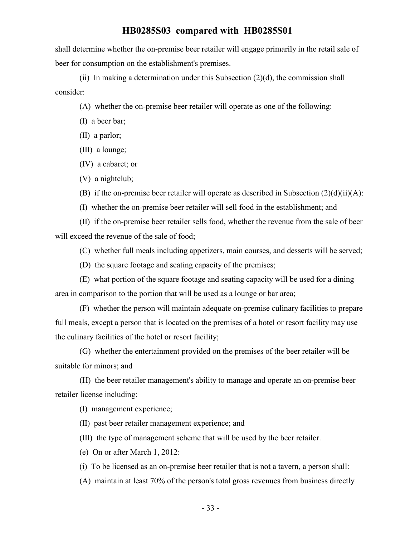shall determine whether the on-premise beer retailer will engage primarily in the retail sale of beer for consumption on the establishment's premises.

(ii) In making a determination under this Subsection  $(2)(d)$ , the commission shall consider:

(A) whether the on-premise beer retailer will operate as one of the following:

(I) a beer bar;

(II) a parlor;

(III) a lounge;

(IV) a cabaret; or

(V) a nightclub;

(B) if the on-premise beer retailer will operate as described in Subsection  $(2)(d)(ii)(A)$ :

(I) whether the on-premise beer retailer will sell food in the establishment; and

(II) if the on-premise beer retailer sells food, whether the revenue from the sale of beer will exceed the revenue of the sale of food;

(C) whether full meals including appetizers, main courses, and desserts will be served;

(D) the square footage and seating capacity of the premises;

(E) what portion of the square footage and seating capacity will be used for a dining area in comparison to the portion that will be used as a lounge or bar area;

(F) whether the person will maintain adequate on-premise culinary facilities to prepare full meals, except a person that is located on the premises of a hotel or resort facility may use the culinary facilities of the hotel or resort facility;

(G) whether the entertainment provided on the premises of the beer retailer will be suitable for minors; and

(H) the beer retailer management's ability to manage and operate an on-premise beer retailer license including:

(I) management experience;

(II) past beer retailer management experience; and

(III) the type of management scheme that will be used by the beer retailer.

(e) On or after March 1, 2012:

(i) To be licensed as an on-premise beer retailer that is not a tavern, a person shall:

(A) maintain at least 70% of the person's total gross revenues from business directly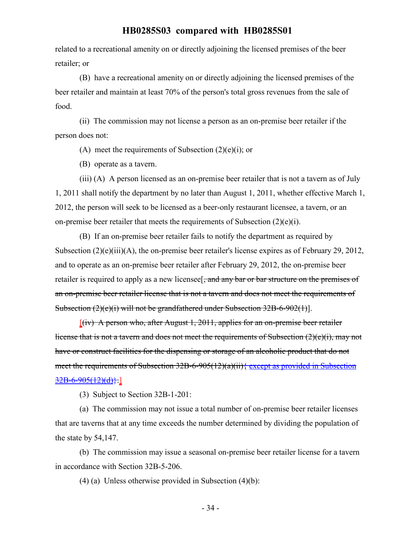related to a recreational amenity on or directly adjoining the licensed premises of the beer retailer; or

(B) have a recreational amenity on or directly adjoining the licensed premises of the beer retailer and maintain at least 70% of the person's total gross revenues from the sale of food.

(ii) The commission may not license a person as an on-premise beer retailer if the person does not:

(A) meet the requirements of Subsection  $(2)(e)(i)$ ; or

(B) operate as a tavern.

(iii) (A) A person licensed as an on-premise beer retailer that is not a tavern as of July 1, 2011 shall notify the department by no later than August 1, 2011, whether effective March 1, 2012, the person will seek to be licensed as a beer-only restaurant licensee, a tavern, or an on-premise beer retailer that meets the requirements of Subsection (2)(e)(i).

(B) If an on-premise beer retailer fails to notify the department as required by Subsection  $(2)(e)(iii)(A)$ , the on-premise beer retailer's license expires as of February 29, 2012, and to operate as an on-premise beer retailer after February 29, 2012, the on-premise beer retailer is required to apply as a new licensee<sup>[, and any bar or bar structure on the premises of</sup> an on-premise beer retailer license that is not a tavern and does not meet the requirements of Subsection (2)(e)(i) will not be grandfathered under Subsection 32B-6-902(1)].

 $[(iv)$  A person who, after August 1, 2011, applies for an on-premise beer retailer license that is not a tavern and does not meet the requirements of Subsection (2)(e)(i), may not have or construct facilities for the dispensing or storage of an alcoholic product that do not meet the requirements of Subsection 32B-6-905(12)(a)(ii){ except as provided in Subsection  $32B-6-905(12)(d)$ .]

(3) Subject to Section 32B-1-201:

(a) The commission may not issue a total number of on-premise beer retailer licenses that are taverns that at any time exceeds the number determined by dividing the population of the state by 54,147.

(b) The commission may issue a seasonal on-premise beer retailer license for a tavern in accordance with Section 32B-5-206.

(4) (a) Unless otherwise provided in Subsection  $(4)(b)$ :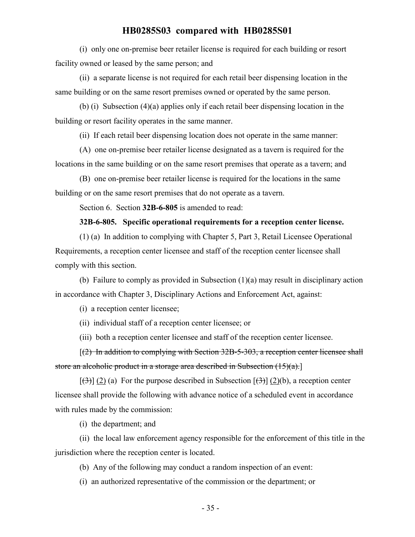(i) only one on-premise beer retailer license is required for each building or resort facility owned or leased by the same person; and

(ii) a separate license is not required for each retail beer dispensing location in the same building or on the same resort premises owned or operated by the same person.

(b) (i) Subsection (4)(a) applies only if each retail beer dispensing location in the building or resort facility operates in the same manner.

(ii) If each retail beer dispensing location does not operate in the same manner:

(A) one on-premise beer retailer license designated as a tavern is required for the locations in the same building or on the same resort premises that operate as a tavern; and

(B) one on-premise beer retailer license is required for the locations in the same building or on the same resort premises that do not operate as a tavern.

Section 6. Section **32B-6-805** is amended to read:

#### **32B-6-805. Specific operational requirements for a reception center license.**

(1) (a) In addition to complying with Chapter 5, Part 3, Retail Licensee Operational Requirements, a reception center licensee and staff of the reception center licensee shall comply with this section.

(b) Failure to comply as provided in Subsection (1)(a) may result in disciplinary action in accordance with Chapter 3, Disciplinary Actions and Enforcement Act, against:

(i) a reception center licensee;

(ii) individual staff of a reception center licensee; or

(iii) both a reception center licensee and staff of the reception center licensee.

[(2) In addition to complying with Section 32B-5-303, a reception center licensee shall store an alcoholic product in a storage area described in Subsection (15)(a).]

 $[\frac{(\lambda)}{(\lambda)}]$  (2) (a) For the purpose described in Subsection  $[\frac{(\lambda)}{(\lambda)}]$  (2)(b), a reception center licensee shall provide the following with advance notice of a scheduled event in accordance with rules made by the commission:

(i) the department; and

(ii) the local law enforcement agency responsible for the enforcement of this title in the jurisdiction where the reception center is located.

(b) Any of the following may conduct a random inspection of an event:

(i) an authorized representative of the commission or the department; or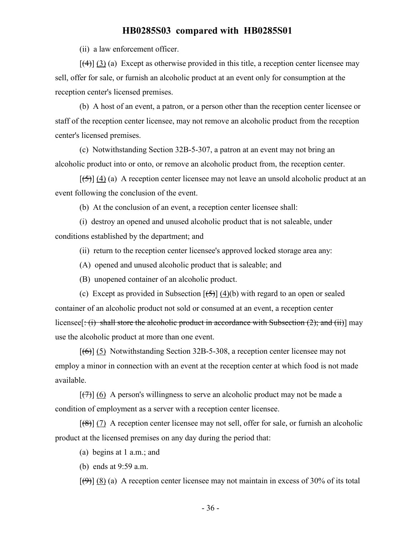(ii) a law enforcement officer.

 $[(4)] (3) (a)$  Except as otherwise provided in this title, a reception center licensee may sell, offer for sale, or furnish an alcoholic product at an event only for consumption at the reception center's licensed premises.

(b) A host of an event, a patron, or a person other than the reception center licensee or staff of the reception center licensee, may not remove an alcoholic product from the reception center's licensed premises.

(c) Notwithstanding Section 32B-5-307, a patron at an event may not bring an alcoholic product into or onto, or remove an alcoholic product from, the reception center.

 $[\frac{1}{5}] (4) (a)$  A reception center licensee may not leave an unsold alcoholic product at an event following the conclusion of the event.

(b) At the conclusion of an event, a reception center licensee shall:

(i) destroy an opened and unused alcoholic product that is not saleable, under conditions established by the department; and

(ii) return to the reception center licensee's approved locked storage area any:

- (A) opened and unused alcoholic product that is saleable; and
- (B) unopened container of an alcoholic product.

(c) Except as provided in Subsection  $[\frac{15}{9}] (4)(b)$  with regard to an open or sealed container of an alcoholic product not sold or consumed at an event, a reception center licensee  $[\div(i)$  shall store the alcoholic product in accordance with Subsection (2); and (ii)) may use the alcoholic product at more than one event.

 $[(6)]$  (5) Notwithstanding Section 32B-5-308, a reception center licensee may not employ a minor in connection with an event at the reception center at which food is not made available.

 $[\overline{(7)}]$  (6) A person's willingness to serve an alcoholic product may not be made a condition of employment as a server with a reception center licensee.

 $[(8)]$  (7) A reception center licensee may not sell, offer for sale, or furnish an alcoholic product at the licensed premises on any day during the period that:

(a) begins at 1 a.m.; and

(b) ends at 9:59 a.m.

 $[(9)$ ]  $(8)$  (a) A reception center licensee may not maintain in excess of 30% of its total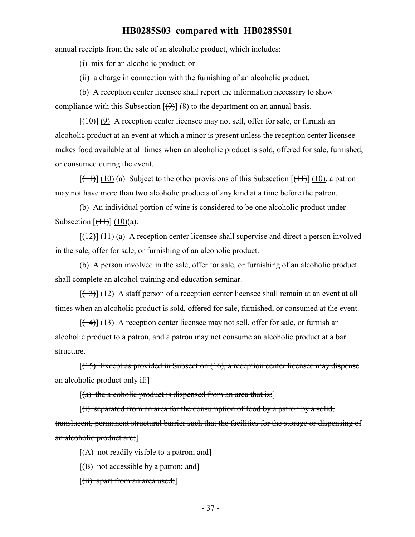annual receipts from the sale of an alcoholic product, which includes:

(i) mix for an alcoholic product; or

(ii) a charge in connection with the furnishing of an alcoholic product.

(b) A reception center licensee shall report the information necessary to show compliance with this Subsection  $[\Theta]$  (8) to the department on an annual basis.

 $[(10)(9)$  A reception center licensee may not sell, offer for sale, or furnish an alcoholic product at an event at which a minor is present unless the reception center licensee makes food available at all times when an alcoholic product is sold, offered for sale, furnished, or consumed during the event.

 $[(11)] (10)$  (a) Subject to the other provisions of this Subsection  $[(11)] (10)$ , a patron may not have more than two alcoholic products of any kind at a time before the patron.

(b) An individual portion of wine is considered to be one alcoholic product under Subsection  $[\frac{(11)}{(10)}]$  (10)(a).

 $[ (12) ]$  (11) (a) A reception center licensee shall supervise and direct a person involved in the sale, offer for sale, or furnishing of an alcoholic product.

(b) A person involved in the sale, offer for sale, or furnishing of an alcoholic product shall complete an alcohol training and education seminar.

 $[ (13) ]$  (12) A staff person of a reception center licensee shall remain at an event at all times when an alcoholic product is sold, offered for sale, furnished, or consumed at the event.

 $[({14})]$  (13) A reception center licensee may not sell, offer for sale, or furnish an alcoholic product to a patron, and a patron may not consume an alcoholic product at a bar structure.

 $[(15)$  Except as provided in Subsection  $(16)$ , a reception center licensee may dispense an alcoholic product only if:]

 $[(a)$  the alcoholic product is dispensed from an area that is:

 $[(i)$  separated from an area for the consumption of food by a patron by a solid, translucent, permanent structural barrier such that the facilities for the storage or dispensing of an alcoholic product are:]

 $[(A)$  not readily visible to a patron; and

 $[(B)$  not accessible by a patron; and

 $[(ii)$  apart from an area used: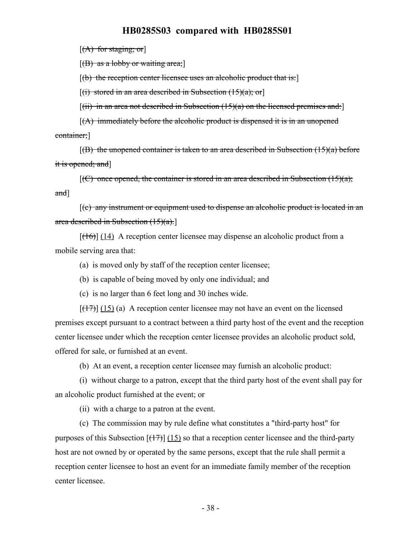$[(A)$  for staging; or

 $[(B)$  as a lobby or waiting area;

 $[(b)$  the reception center licensee uses an alcoholic product that is:

 $[(i)$  stored in an area described in Subsection  $(15)(a)$ ; or

 $[(iii)$  in an area not described in Subsection  $(15)(a)$  on the licensed premises and:

 $[(A)$  immediately before the alcoholic product is dispensed it is in an unopened container;]

 $[(B)$  the unopened container is taken to an area described in Subsection  $(15)(a)$  before it is opened; and]

 $[(C)$  once opened, the container is stored in an area described in Subsection  $(15)(a)$ ; and]

[(c) any instrument or equipment used to dispense an alcoholic product is located in an area described in Subsection (15)(a).]

 $[({16})]$  (14) A reception center licensee may dispense an alcoholic product from a mobile serving area that:

(a) is moved only by staff of the reception center licensee;

(b) is capable of being moved by only one individual; and

(c) is no larger than 6 feet long and 30 inches wide.

 $[ (17) ]$  (15) (a) A reception center licensee may not have an event on the licensed premises except pursuant to a contract between a third party host of the event and the reception center licensee under which the reception center licensee provides an alcoholic product sold, offered for sale, or furnished at an event.

(b) At an event, a reception center licensee may furnish an alcoholic product:

(i) without charge to a patron, except that the third party host of the event shall pay for an alcoholic product furnished at the event; or

(ii) with a charge to a patron at the event.

(c) The commission may by rule define what constitutes a "third-party host" for purposes of this Subsection  $[(17)]$  (15) so that a reception center licensee and the third-party host are not owned by or operated by the same persons, except that the rule shall permit a reception center licensee to host an event for an immediate family member of the reception center licensee.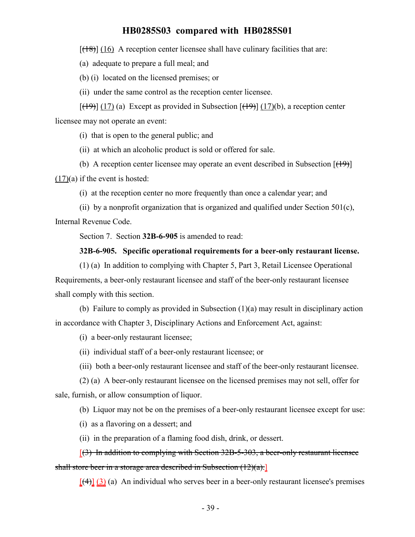$[({18})]$  (16) A reception center licensee shall have culinary facilities that are:

(a) adequate to prepare a full meal; and

(b) (i) located on the licensed premises; or

(ii) under the same control as the reception center licensee.

 $[(19)]$  (17) (a) Except as provided in Subsection  $[(19)]$  (17)(b), a reception center licensee may not operate an event:

(i) that is open to the general public; and

(ii) at which an alcoholic product is sold or offered for sale.

(b) A reception center licensee may operate an event described in Subsection  $[$ ( $\uparrow$ 9) $]$  $(17)(a)$  if the event is hosted:

(i) at the reception center no more frequently than once a calendar year; and

(ii) by a nonprofit organization that is organized and qualified under Section 501 $(c)$ , Internal Revenue Code.

Section 7. Section **32B-6-905** is amended to read:

#### **32B-6-905. Specific operational requirements for a beer-only restaurant license.**

(1) (a) In addition to complying with Chapter 5, Part 3, Retail Licensee Operational Requirements, a beer-only restaurant licensee and staff of the beer-only restaurant licensee shall comply with this section.

(b) Failure to comply as provided in Subsection (1)(a) may result in disciplinary action in accordance with Chapter 3, Disciplinary Actions and Enforcement Act, against:

(i) a beer-only restaurant licensee;

(ii) individual staff of a beer-only restaurant licensee; or

(iii) both a beer-only restaurant licensee and staff of the beer-only restaurant licensee.

(2) (a) A beer-only restaurant licensee on the licensed premises may not sell, offer for sale, furnish, or allow consumption of liquor.

(b) Liquor may not be on the premises of a beer-only restaurant licensee except for use:

(i) as a flavoring on a dessert; and

(ii) in the preparation of a flaming food dish, drink, or dessert.

[(3) In addition to complying with Section 32B-5-303, a beer-only restaurant licensee shall store beer in a storage area described in Subsection (12)(a).

 $[$ (4)] (3) (a) An individual who serves beer in a beer-only restaurant licensee's premises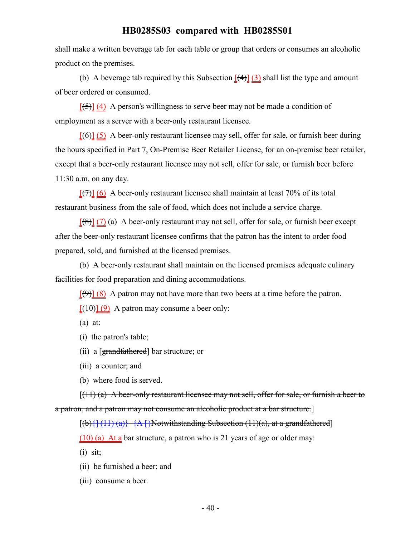shall make a written beverage tab for each table or group that orders or consumes an alcoholic product on the premises.

(b) A beverage tab required by this Subsection  $[(4)] (3)$  shall list the type and amount of beer ordered or consumed.

 $[$ (5)] (4) A person's willingness to serve beer may not be made a condition of employment as a server with a beer-only restaurant licensee.

 $[66]$  (5) A beer-only restaurant licensee may sell, offer for sale, or furnish beer during the hours specified in Part 7, On-Premise Beer Retailer License, for an on-premise beer retailer, except that a beer-only restaurant licensee may not sell, offer for sale, or furnish beer before 11:30 a.m. on any day.

 $[\frac{7}{2}]$  (6) A beer-only restaurant licensee shall maintain at least 70% of its total restaurant business from the sale of food, which does not include a service charge.

 $[68]$  (7) (a) A beer-only restaurant may not sell, offer for sale, or furnish beer except after the beer-only restaurant licensee confirms that the patron has the intent to order food prepared, sold, and furnished at the licensed premises.

(b) A beer-only restaurant shall maintain on the licensed premises adequate culinary facilities for food preparation and dining accommodations.

 $[\Theta]$  (8) A patron may not have more than two beers at a time before the patron.  $[(10)(9)$  A patron may consume a beer only:

(a) at:

(i) the patron's table;

(ii) a [grandfathered] bar structure; or

(iii) a counter; and

(b) where food is served.

 $[(11)(a)$  A beer-only restaurant licensee may not sell, offer for sale, or furnish a beer to a patron, and a patron may not consume an alcoholic product at a bar structure.]

 $[(b) {\{ (11) (a) \} \} \{ A \}$  Notwithstanding Subsection (11)(a), at a grandfathered]

(10) (a) At a bar structure, a patron who is 21 years of age or older may:

 $(i)$  sit;

- (ii) be furnished a beer; and
- (iii) consume a beer.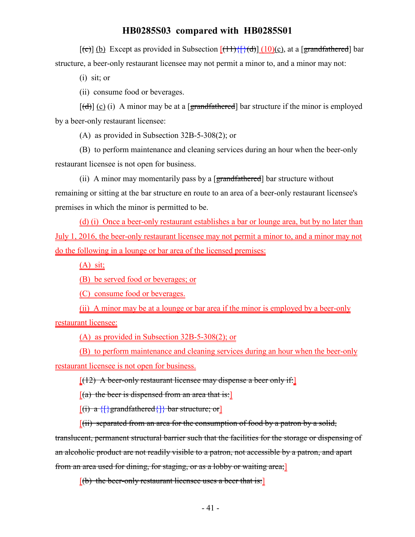$[(e)]$  (b) Except as provided in Subsection  $[(11)\{[(d)] (10)(c)\}$ , at a [grandfathered] bar structure, a beer-only restaurant licensee may not permit a minor to, and a minor may not:

(i) sit; or

(ii) consume food or beverages.

 $[\text{(\text{d})}]$  (c) (i) A minor may be at a [grandfathered] bar structure if the minor is employed by a beer-only restaurant licensee:

(A) as provided in Subsection 32B-5-308(2); or

(B) to perform maintenance and cleaning services during an hour when the beer-only restaurant licensee is not open for business.

(ii) A minor may momentarily pass by a [grandfathered] bar structure without remaining or sitting at the bar structure en route to an area of a beer-only restaurant licensee's premises in which the minor is permitted to be.

(d) (i) Once a beer-only restaurant establishes a bar or lounge area, but by no later than July 1, 2016, the beer-only restaurant licensee may not permit a minor to, and a minor may not do the following in a lounge or bar area of the licensed premises:

 $(A)$  sit;

(B) be served food or beverages; or

(C) consume food or beverages.

(ii) A minor may be at a lounge or bar area if the minor is employed by a beer-only restaurant licensee:

(A) as provided in Subsection 32B-5-308(2); or

(B) to perform maintenance and cleaning services during an hour when the beer-only restaurant licensee is not open for business.

 $[(12)$  A beer-only restaurant licensee may dispense a beer only if:

 $[(a)$  the beer is dispensed from an area that is:

 $[(i) a \{\}$  grandfathered $\{\}$  bar structure; or

 $[(ii)$  separated from an area for the consumption of food by a patron by a solid,

translucent, permanent structural barrier such that the facilities for the storage or dispensing of an alcoholic product are not readily visible to a patron, not accessible by a patron, and apart from an area used for dining, for staging, or as a lobby or waiting area;]

 $[$ (b) the beer-only restaurant licensee uses a beer that is: $]$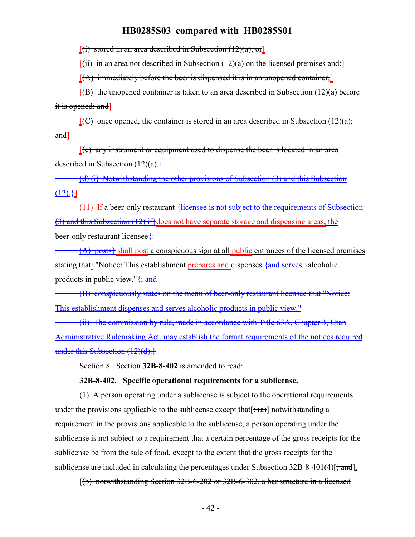$[(i)$  stored in an area described in Subsection  $(12)(a)$ ; or

 $[(iii)$  in an area not described in Subsection  $(12)(a)$  on the licensed premises and:

 $[(A)$  immediately before the beer is dispensed it is in an unopened container;

 $[$ (B) the unopened container is taken to an area described in Subsection  $(12)(a)$  before it is opened; and]

 $[(C)$  once opened, the container is stored in an area described in Subsection (12)(a); and]

[(c) any instrument or equipment used to dispense the beer is located in an area described in Subsection (12)(a).{

(d) (i) Notwithstanding the other provisions of Subsection (3) and this Subsection  $\{\pm 2\},\}$ ]

(11) If a beer-only restaurant {licensee is not subject to the requirements of Subsection (3) and this Subsection (12) if}does not have separate storage and dispensing areas, the beer-only restaurant licensee<sup>{-1}</sup>

 $(A)$  posts<sup>{</sup> shall post a conspicuous sign at all public entrances of the licensed premises stating that: "Notice: This establishment prepares and dispenses  $\frac{1}{4}$  serves  $\frac{1}{4}$  alcoholic products in public view." $\frac{1}{3}$  and

(B) conspicuously states on the menu of beer-only restaurant licensee that "Notice: This establishment dispenses and serves alcoholic products in public view."

(ii) The commission by rule, made in accordance with Title 63A, Chapter 3, Utah Administrative Rulemaking Act, may establish the format requirements of the notices required under this Subsection  $(12)(d)$ .}

Section 8. Section **32B-8-402** is amended to read:

#### **32B-8-402. Specific operational requirements for a sublicense.**

(1) A person operating under a sublicense is subject to the operational requirements under the provisions applicable to the sublicense except that  $[\pm(\alpha)]$  notwithstanding a requirement in the provisions applicable to the sublicense, a person operating under the sublicense is not subject to a requirement that a certain percentage of the gross receipts for the sublicense be from the sale of food, except to the extent that the gross receipts for the sublicense are included in calculating the percentages under Subsection  $32B-8-401(4)$ ; and.

[(b) notwithstanding Section 32B-6-202 or 32B-6-302, a bar structure in a licensed